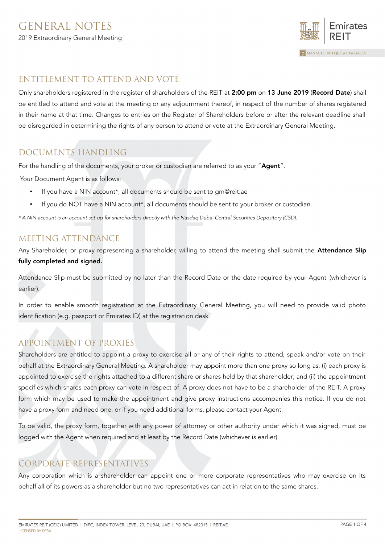

### ENTITLEMENT TO ATTEND AND VOTE

Only shareholders registered in the register of shareholders of the REIT at 2:00 pm on 13 June 2019 (Record Date) shall be entitled to attend and vote at the meeting or any adjournment thereof, in respect of the number of shares registered in their name at that time. Changes to entries on the Register of Shareholders before or after the relevant deadline shall be disregarded in determining the rights of any person to attend or vote at the Extraordinary General Meeting.

# DOCUMENTS HANDLING

For the handling of the documents, your broker or custodian are referred to as your "Agent".

Your Document Agent is as follows:

- If you have a NIN account<sup>\*</sup>, all documents should be sent to gm@reit.ae
- If you do NOT have a NIN account\*, all documents should be sent to your broker or custodian.

\* A NIN account is an account set-up for shareholders directly with the Nasdaq Dubai Central Securities Depository (CSD).

### MEETING ATTENDANCE

Any Shareholder, or proxy representing a shareholder, willing to attend the meeting shall submit the **Attendance Slip** fully completed and signed.

Attendance Slip must be submitted by no later than the Record Date or the date required by your Agent (whichever is earlier).

In order to enable smooth registration at the Extraordinary General Meeting, you will need to provide valid photo identification (e.g. passport or Emirates ID) at the registration desk.

# APPOINTMENT OF PROXIES

Shareholders are entitled to appoint a proxy to exercise all or any of their rights to attend, speak and/or vote on their behalf at the Extraordinary General Meeting. A shareholder may appoint more than one proxy so long as: (i) each proxy is appointed to exercise the rights attached to a different share or shares held by that shareholder; and (ii) the appointment specifies which shares each proxy can vote in respect of. A proxy does not have to be a shareholder of the REIT. A proxy form which may be used to make the appointment and give proxy instructions accompanies this notice. If you do not have a proxy form and need one, or if you need additional forms, please contact your Agent.

To be valid, the proxy form, together with any power of attorney or other authority under which it was signed, must be logged with the Agent when required and at least by the Record Date (whichever is earlier).

# CORPORATE REPRESENTATIVES

Any corporation which is a shareholder can appoint one or more corporate representatives who may exercise on its behalf all of its powers as a shareholder but no two representatives can act in relation to the same shares.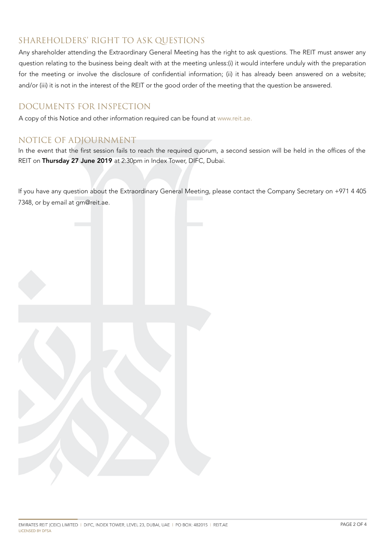# SHAREHOLDERS' RIGHT TO ASK QUESTIONS

Any shareholder attending the Extraordinary General Meeting has the right to ask questions. The REIT must answer any question relating to the business being dealt with at the meeting unless:(i) it would interfere unduly with the preparation for the meeting or involve the disclosure of confidential information; (ii) it has already been answered on a website; and/or (iii) it is not in the interest of the REIT or the good order of the meeting that the question be answered.

### DOCUMENTS FOR INSPECTION

A copy of this Notice and other information required can be found at [www.reit.ae.](http://www.reit.ae/)

### NOTICE OF ADJOURNMENT

In the event that the first session fails to reach the required quorum, a second session will be held in the offices of the REIT on Thursday 27 June 2019 at 2:30pm in Index Tower, DIFC, Dubai.

If you have any question about the Extraordinary General Meeting, please contact the Company Secretary on +971 4 405 7348, or by email at gm@reit.ae.

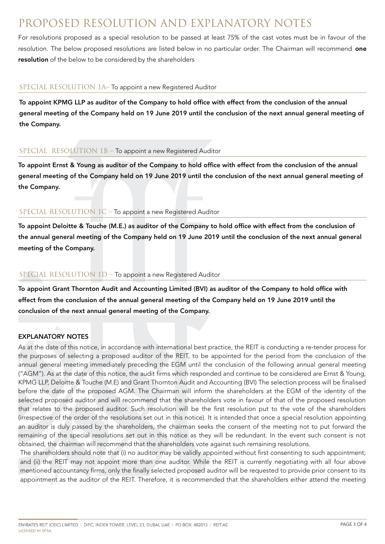# PROPOSED RESOLUTION AND EXPLANATORY NOTES

For resolutions proposed as a special resolution to be passed at least 75% of the cast votes must be in favour of the resolution. The below proposed resolutions are listed below in no particular order. The Chairman will recommend one resolution of the below to be considered by the shareholders

### SPECIAL RESOLUTION 1A– To appoint a new Registered Auditor

To appoint KPMG LLP as auditor of the Company to hold office with effect from the conclusion of the annual general meeting of the Company held on 19 June 2019 until the conclusion of the next annual general meeting of the Company.

### SPECIAL RESOLUTION 1B – To appoint a new Registered Auditor

To appoint Ernst & Young as auditor of the Company to hold office with effect from the conclusion of the annual general meeting of the Company held on 19 June 2019 until the conclusion of the next annual general meeting of the Company.

### SPECIAL RESOLUTION 1C – To appoint a new Registered Auditor

To appoint Deloitte & Touche (M.E.) as auditor of the Company to hold office with effect from the conclusion of the annual general meeting of the Company held on 19 June 2019 until the conclusion of the next annual general meeting of the Company.

### SPECIAL RESOLUTION 1D – To appoint a new Registered Auditor

To appoint Grant Thornton Audit and Accounting Limited (BVI) as auditor of the Company to hold office with effect from the conclusion of the annual general meeting of the Company held on 19 June 2019 until the conclusion of the next annual general meeting of the Company.

### EXPLANATORY NOTES

As at the date of this notice, in accordance with international best practice, the REIT is conducting a re-tender process for the purposes of selecting a proposed auditor of the REIT, to be appointed for the period from the conclusion of the annual general meeting immediately preceding the EGM until the conclusion of the following annual general meeting ("AGM"). As at the date of this notice, the audit firms which responded and continue to be considered are Ernst & Young, KPMG LLP, Deloitte & Touche (M.E) and Grant Thornton Audit and Accounting (BVI) The selection process will be finalised before the date of the proposed AGM. The Chairman will inform the shareholders at the EGM of the identity of the selected proposed auditor and will recommend that the shareholders vote in favour of that of the proposed resolution that relates to the proposed auditor. Such resolution will be the first resolution put to the vote of the shareholders (irrespective of the order of the resolutions set out in this notice). It is intended that once a special resolution appointing an auditor is duly passed by the shareholders, the chairman seeks the consent of the meeting not to put forward the remaining of the special resolutions set out in this notice as they will be redundant. In the event such consent is not obtained, the chairman will recommend that the shareholders vote against such remaining resolutions.

The shareholders should note that (i) no auditor may be validly appointed without first consenting to such appointment; and (ii) the REIT may not appoint more than one auditor. While the REIT is currently negotiating with all four above mentioned accountancy firms, only the finally selected proposed auditor will be requested to provide prior consent to its appointment as the auditor of the REIT. Therefore, it is recommended that the shareholders either attend the meeting